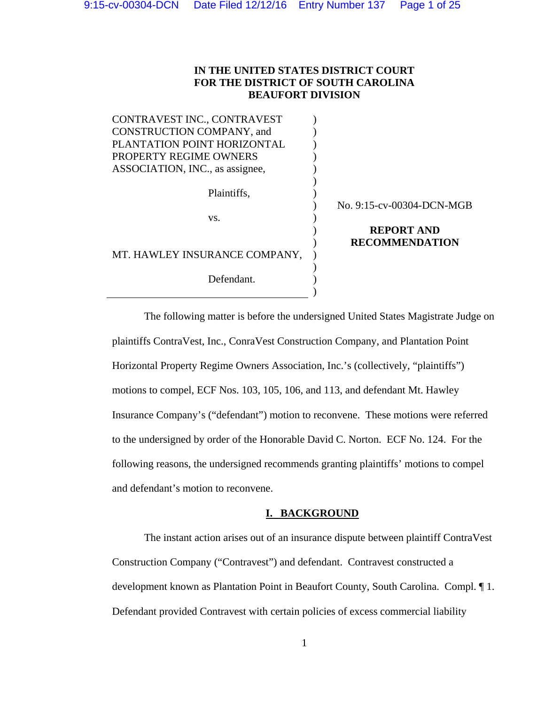# **IN THE UNITED STATES DISTRICT COURT FOR THE DISTRICT OF SOUTH CAROLINA BEAUFORT DIVISION**

CONTRAVEST INC., CONTRAVEST CONSTRUCTION COMPANY, and PLANTATION POINT HORIZONTAL PROPERTY REGIME OWNERS ASSOCIATION, INC., as assignee,  $\lambda$ ) ) ) )  $)$ Plaintiffs,  $\qquad \qquad$ ) ) No. 9:15-cv-00304-DCN-MGB vs. (b)  $)$  $\lambda$ **REPORT AND RECOMMENDATION**  MT. HAWLEY INSURANCE COMPANY, )  $)$ Defendant.  $)$ 

The following matter is before the undersigned United States Magistrate Judge on plaintiffs ContraVest, Inc., ConraVest Construction Company, and Plantation Point Horizontal Property Regime Owners Association, Inc.'s (collectively, "plaintiffs") motions to compel, ECF Nos. 103, 105, 106, and 113, and defendant Mt. Hawley Insurance Company's ("defendant") motion to reconvene. These motions were referred to the undersigned by order of the Honorable David C. Norton. ECF No. 124. For the following reasons, the undersigned recommends granting plaintiffs' motions to compel and defendant's motion to reconvene.

# **I. BACKGROUND**

 The instant action arises out of an insurance dispute between plaintiff ContraVest Construction Company ("Contravest") and defendant. Contravest constructed a development known as Plantation Point in Beaufort County, South Carolina. Compl. ¶ 1. Defendant provided Contravest with certain policies of excess commercial liability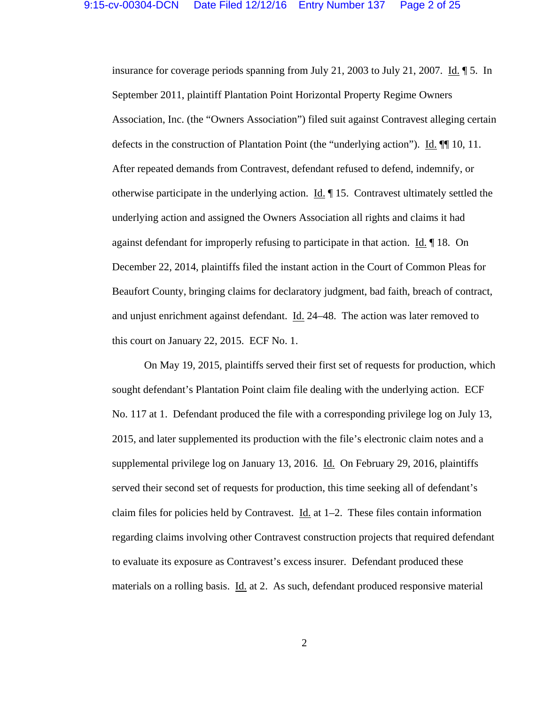insurance for coverage periods spanning from July 21, 2003 to July 21, 2007. Id. ¶ 5. In September 2011, plaintiff Plantation Point Horizontal Property Regime Owners Association, Inc. (the "Owners Association") filed suit against Contravest alleging certain defects in the construction of Plantation Point (the "underlying action"). Id. ¶¶ 10, 11. After repeated demands from Contravest, defendant refused to defend, indemnify, or otherwise participate in the underlying action. Id. ¶ 15. Contravest ultimately settled the underlying action and assigned the Owners Association all rights and claims it had against defendant for improperly refusing to participate in that action. Id. ¶ 18. On December 22, 2014, plaintiffs filed the instant action in the Court of Common Pleas for Beaufort County, bringing claims for declaratory judgment, bad faith, breach of contract, and unjust enrichment against defendant. Id. 24–48. The action was later removed to this court on January 22, 2015. ECF No. 1.

 On May 19, 2015, plaintiffs served their first set of requests for production, which sought defendant's Plantation Point claim file dealing with the underlying action. ECF No. 117 at 1. Defendant produced the file with a corresponding privilege log on July 13, 2015, and later supplemented its production with the file's electronic claim notes and a supplemental privilege log on January 13, 2016. Id. On February 29, 2016, plaintiffs served their second set of requests for production, this time seeking all of defendant's claim files for policies held by Contravest. Id. at  $1-2$ . These files contain information regarding claims involving other Contravest construction projects that required defendant to evaluate its exposure as Contravest's excess insurer. Defendant produced these materials on a rolling basis. Id. at 2. As such, defendant produced responsive material

2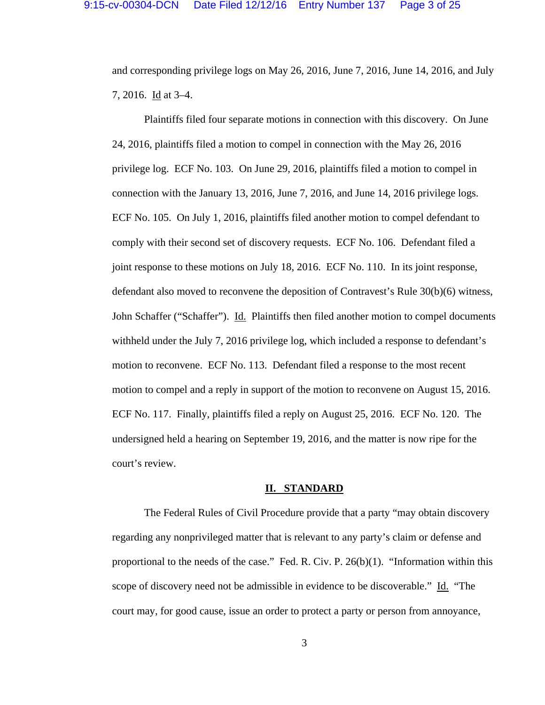and corresponding privilege logs on May 26, 2016, June 7, 2016, June 14, 2016, and July 7, 2016. Id at 3–4.

 Plaintiffs filed four separate motions in connection with this discovery. On June 24, 2016, plaintiffs filed a motion to compel in connection with the May 26, 2016 privilege log. ECF No. 103. On June 29, 2016, plaintiffs filed a motion to compel in connection with the January 13, 2016, June 7, 2016, and June 14, 2016 privilege logs. ECF No. 105. On July 1, 2016, plaintiffs filed another motion to compel defendant to comply with their second set of discovery requests. ECF No. 106. Defendant filed a joint response to these motions on July 18, 2016. ECF No. 110. In its joint response, defendant also moved to reconvene the deposition of Contravest's Rule 30(b)(6) witness, John Schaffer ("Schaffer"). Id. Plaintiffs then filed another motion to compel documents withheld under the July 7, 2016 privilege log, which included a response to defendant's motion to reconvene. ECF No. 113. Defendant filed a response to the most recent motion to compel and a reply in support of the motion to reconvene on August 15, 2016. ECF No. 117. Finally, plaintiffs filed a reply on August 25, 2016. ECF No. 120. The undersigned held a hearing on September 19, 2016, and the matter is now ripe for the court's review.

#### **II. STANDARD**

 The Federal Rules of Civil Procedure provide that a party "may obtain discovery regarding any nonprivileged matter that is relevant to any party's claim or defense and proportional to the needs of the case." Fed. R. Civ. P. 26(b)(1). "Information within this scope of discovery need not be admissible in evidence to be discoverable." Id. "The court may, for good cause, issue an order to protect a party or person from annoyance,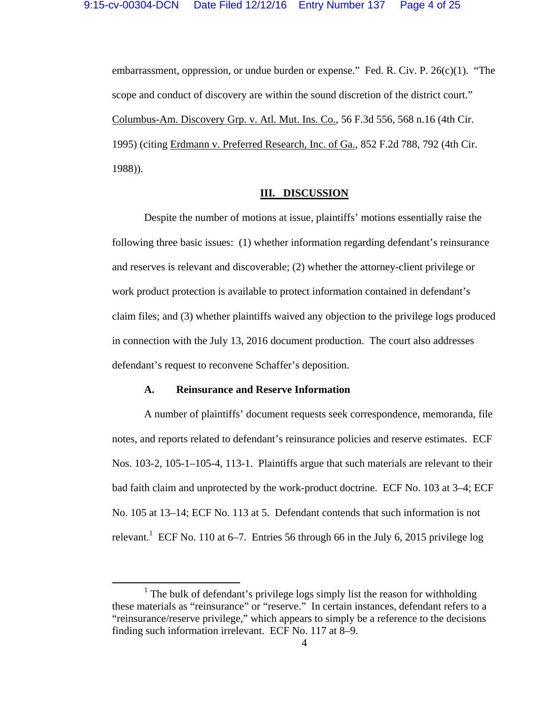embarrassment, oppression, or undue burden or expense." Fed. R. Civ. P. 26(c)(1). "The scope and conduct of discovery are within the sound discretion of the district court." Columbus-Am. Discovery Grp. v. Atl. Mut. Ins. Co., 56 F.3d 556, 568 n.16 (4th Cir. 1995) (citing Erdmann v. Preferred Research, Inc. of Ga., 852 F.2d 788, 792 (4th Cir. 1988)).

### **III. DISCUSSION**

 Despite the number of motions at issue, plaintiffs' motions essentially raise the following three basic issues: (1) whether information regarding defendant's reinsurance and reserves is relevant and discoverable; (2) whether the attorney-client privilege or work product protection is available to protect information contained in defendant's claim files; and (3) whether plaintiffs waived any objection to the privilege logs produced in connection with the July 13, 2016 document production. The court also addresses defendant's request to reconvene Schaffer's deposition.

#### **A. Reinsurance and Reserve Information**

 A number of plaintiffs' document requests seek correspondence, memoranda, file notes, and reports related to defendant's reinsurance policies and reserve estimates. ECF Nos. 103-2, 105-1–105-4, 113-1. Plaintiffs argue that such materials are relevant to their bad faith claim and unprotected by the work-product doctrine. ECF No. 103 at 3–4; ECF No. 105 at 13–14; ECF No. 113 at 5. Defendant contends that such information is not relevant.<sup>1</sup> ECF No. 110 at 6–7. Entries 56 through 66 in the July 6, 2015 privilege log

<sup>&</sup>lt;sup>1</sup> The bulk of defendant's privilege logs simply list the reason for withholding these materials as "reinsurance" or "reserve." In certain instances, defendant refers to a "reinsurance/reserve privilege," which appears to simply be a reference to the decisions finding such information irrelevant. ECF No. 117 at 8–9.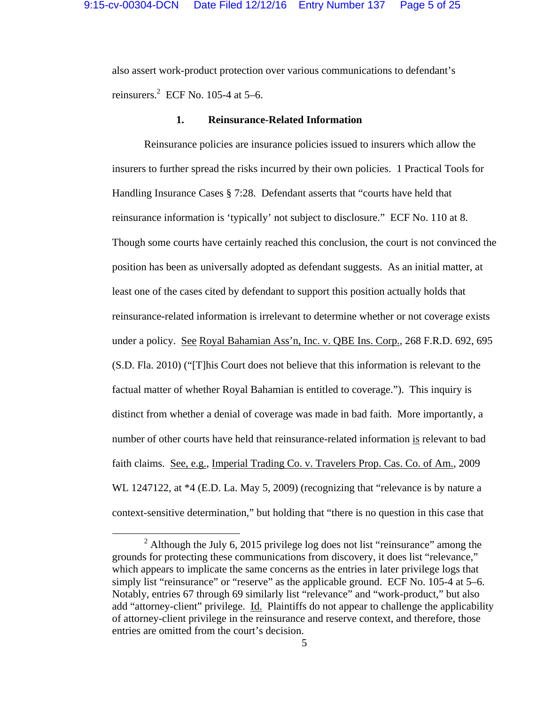also assert work-product protection over various communications to defendant's reinsurers. $2$  ECF No. 105-4 at 5-6.

#### **1. Reinsurance-Related Information**

 Reinsurance policies are insurance policies issued to insurers which allow the insurers to further spread the risks incurred by their own policies. 1 Practical Tools for Handling Insurance Cases § 7:28. Defendant asserts that "courts have held that reinsurance information is 'typically' not subject to disclosure." ECF No. 110 at 8. Though some courts have certainly reached this conclusion, the court is not convinced the position has been as universally adopted as defendant suggests. As an initial matter, at least one of the cases cited by defendant to support this position actually holds that reinsurance-related information is irrelevant to determine whether or not coverage exists under a policy. See Royal Bahamian Ass'n, Inc. v. QBE Ins. Corp., 268 F.R.D. 692, 695 (S.D. Fla. 2010) ("[T]his Court does not believe that this information is relevant to the factual matter of whether Royal Bahamian is entitled to coverage."). This inquiry is distinct from whether a denial of coverage was made in bad faith. More importantly, a number of other courts have held that reinsurance-related information is relevant to bad faith claims. See, e.g., Imperial Trading Co. v. Travelers Prop. Cas. Co. of Am., 2009 WL 1247122, at \*4 (E.D. La. May 5, 2009) (recognizing that "relevance is by nature a context-sensitive determination," but holding that "there is no question in this case that

<sup>&</sup>lt;sup>2</sup> Although the July 6, 2015 privilege log does not list "reinsurance" among the grounds for protecting these communications from discovery, it does list "relevance," which appears to implicate the same concerns as the entries in later privilege logs that simply list "reinsurance" or "reserve" as the applicable ground. ECF No. 105-4 at 5–6. Notably, entries 67 through 69 similarly list "relevance" and "work-product," but also add "attorney-client" privilege. Id. Plaintiffs do not appear to challenge the applicability of attorney-client privilege in the reinsurance and reserve context, and therefore, those entries are omitted from the court's decision.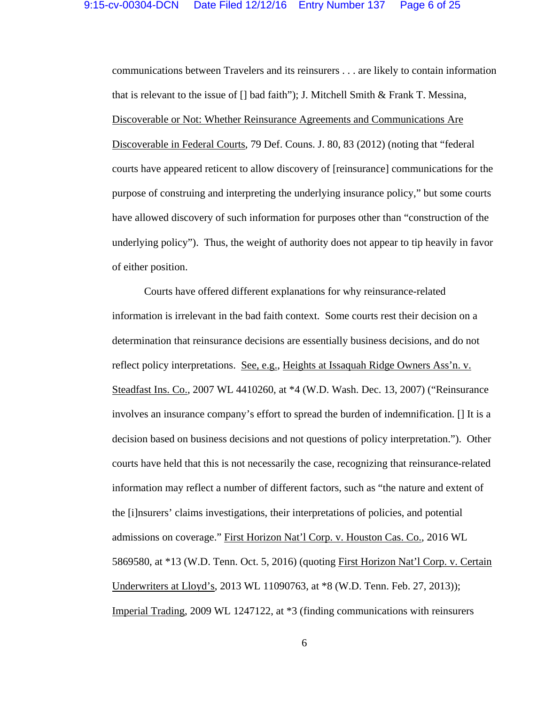communications between Travelers and its reinsurers . . . are likely to contain information that is relevant to the issue of  $\lceil \cdot \rceil$  bad faith"); J. Mitchell Smith & Frank T. Messina, Discoverable or Not: Whether Reinsurance Agreements and Communications Are Discoverable in Federal Courts, 79 Def. Couns. J. 80, 83 (2012) (noting that "federal courts have appeared reticent to allow discovery of [reinsurance] communications for the purpose of construing and interpreting the underlying insurance policy," but some courts have allowed discovery of such information for purposes other than "construction of the underlying policy"). Thus, the weight of authority does not appear to tip heavily in favor of either position.

 Courts have offered different explanations for why reinsurance-related information is irrelevant in the bad faith context. Some courts rest their decision on a determination that reinsurance decisions are essentially business decisions, and do not reflect policy interpretations. See, e.g., Heights at Issaquah Ridge Owners Ass'n. v. Steadfast Ins. Co., 2007 WL 4410260, at \*4 (W.D. Wash. Dec. 13, 2007) ("Reinsurance involves an insurance company's effort to spread the burden of indemnification. [] It is a decision based on business decisions and not questions of policy interpretation."). Other courts have held that this is not necessarily the case, recognizing that reinsurance-related information may reflect a number of different factors, such as "the nature and extent of the [i]nsurers' claims investigations, their interpretations of policies, and potential admissions on coverage." First Horizon Nat'l Corp. v. Houston Cas. Co., 2016 WL 5869580, at \*13 (W.D. Tenn. Oct. 5, 2016) (quoting First Horizon Nat'l Corp. v. Certain Underwriters at Lloyd's, 2013 WL 11090763, at \*8 (W.D. Tenn. Feb. 27, 2013)); Imperial Trading, 2009 WL 1247122, at \*3 (finding communications with reinsurers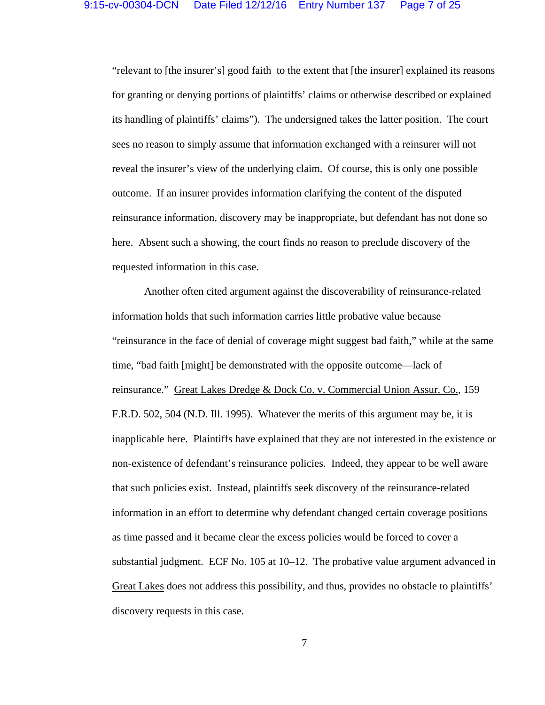"relevant to [the insurer's] good faith to the extent that [the insurer] explained its reasons for granting or denying portions of plaintiffs' claims or otherwise described or explained its handling of plaintiffs' claims"). The undersigned takes the latter position. The court sees no reason to simply assume that information exchanged with a reinsurer will not reveal the insurer's view of the underlying claim. Of course, this is only one possible outcome. If an insurer provides information clarifying the content of the disputed reinsurance information, discovery may be inappropriate, but defendant has not done so here. Absent such a showing, the court finds no reason to preclude discovery of the requested information in this case.

 Another often cited argument against the discoverability of reinsurance-related information holds that such information carries little probative value because "reinsurance in the face of denial of coverage might suggest bad faith," while at the same time, "bad faith [might] be demonstrated with the opposite outcome—lack of reinsurance." Great Lakes Dredge & Dock Co. v. Commercial Union Assur. Co., 159 F.R.D. 502, 504 (N.D. Ill. 1995). Whatever the merits of this argument may be, it is inapplicable here. Plaintiffs have explained that they are not interested in the existence or non-existence of defendant's reinsurance policies. Indeed, they appear to be well aware that such policies exist. Instead, plaintiffs seek discovery of the reinsurance-related information in an effort to determine why defendant changed certain coverage positions as time passed and it became clear the excess policies would be forced to cover a substantial judgment. ECF No. 105 at 10–12. The probative value argument advanced in Great Lakes does not address this possibility, and thus, provides no obstacle to plaintiffs' discovery requests in this case.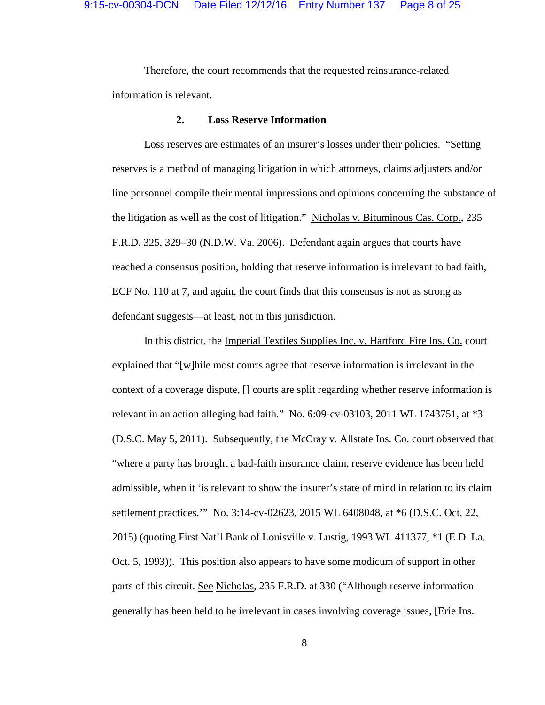Therefore, the court recommends that the requested reinsurance-related information is relevant.

### **2. Loss Reserve Information**

 Loss reserves are estimates of an insurer's losses under their policies. "Setting reserves is a method of managing litigation in which attorneys, claims adjusters and/or line personnel compile their mental impressions and opinions concerning the substance of the litigation as well as the cost of litigation." Nicholas v. Bituminous Cas. Corp., 235 F.R.D. 325, 329–30 (N.D.W. Va. 2006). Defendant again argues that courts have reached a consensus position, holding that reserve information is irrelevant to bad faith, ECF No. 110 at 7, and again, the court finds that this consensus is not as strong as defendant suggests—at least, not in this jurisdiction.

 In this district, the Imperial Textiles Supplies Inc. v. Hartford Fire Ins. Co. court explained that "[w]hile most courts agree that reserve information is irrelevant in the context of a coverage dispute, [] courts are split regarding whether reserve information is relevant in an action alleging bad faith." No. 6:09-cv-03103, 2011 WL 1743751, at \*3 (D.S.C. May 5, 2011). Subsequently, the McCray v. Allstate Ins. Co. court observed that "where a party has brought a bad-faith insurance claim, reserve evidence has been held admissible, when it 'is relevant to show the insurer's state of mind in relation to its claim settlement practices.'" No. 3:14-cv-02623, 2015 WL 6408048, at \*6 (D.S.C. Oct. 22, 2015) (quoting First Nat'l Bank of Louisville v. Lustig, 1993 WL 411377, \*1 (E.D. La. Oct. 5, 1993)). This position also appears to have some modicum of support in other parts of this circuit. See Nicholas, 235 F.R.D. at 330 ("Although reserve information generally has been held to be irrelevant in cases involving coverage issues, [Erie Ins.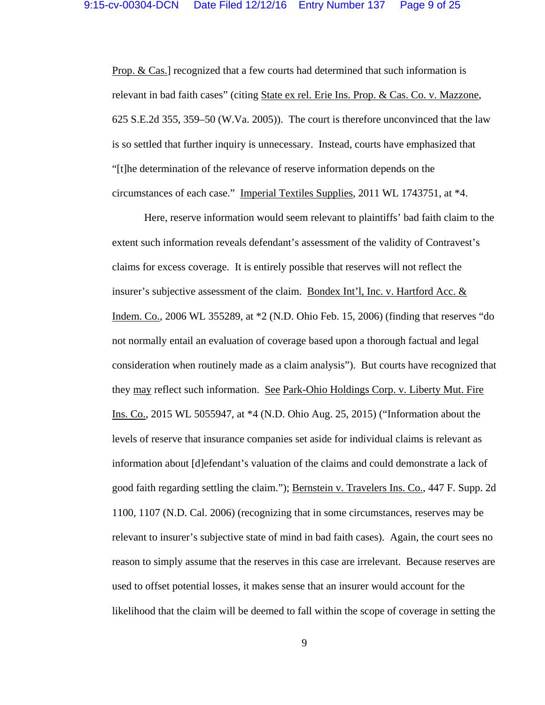Prop. & Cas.] recognized that a few courts had determined that such information is relevant in bad faith cases" (citing State ex rel. Erie Ins. Prop. & Cas. Co. v. Mazzone, 625 S.E.2d 355, 359–50 (W.Va. 2005)). The court is therefore unconvinced that the law is so settled that further inquiry is unnecessary. Instead, courts have emphasized that "[t]he determination of the relevance of reserve information depends on the circumstances of each case." Imperial Textiles Supplies, 2011 WL 1743751, at \*4.

 Here, reserve information would seem relevant to plaintiffs' bad faith claim to the extent such information reveals defendant's assessment of the validity of Contravest's claims for excess coverage. It is entirely possible that reserves will not reflect the insurer's subjective assessment of the claim. Bondex Int'l, Inc. v. Hartford Acc. & Indem. Co., 2006 WL 355289, at \*2 (N.D. Ohio Feb. 15, 2006) (finding that reserves "do not normally entail an evaluation of coverage based upon a thorough factual and legal consideration when routinely made as a claim analysis"). But courts have recognized that they may reflect such information. See Park-Ohio Holdings Corp. v. Liberty Mut. Fire Ins. Co., 2015 WL 5055947, at \*4 (N.D. Ohio Aug. 25, 2015) ("Information about the levels of reserve that insurance companies set aside for individual claims is relevant as information about [d]efendant's valuation of the claims and could demonstrate a lack of good faith regarding settling the claim."); Bernstein v. Travelers Ins. Co., 447 F. Supp. 2d 1100, 1107 (N.D. Cal. 2006) (recognizing that in some circumstances, reserves may be relevant to insurer's subjective state of mind in bad faith cases). Again, the court sees no reason to simply assume that the reserves in this case are irrelevant. Because reserves are used to offset potential losses, it makes sense that an insurer would account for the likelihood that the claim will be deemed to fall within the scope of coverage in setting the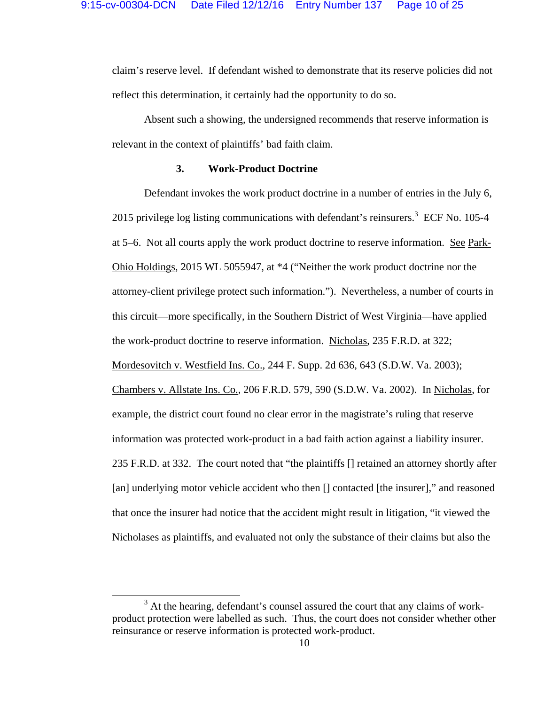claim's reserve level. If defendant wished to demonstrate that its reserve policies did not reflect this determination, it certainly had the opportunity to do so.

 Absent such a showing, the undersigned recommends that reserve information is relevant in the context of plaintiffs' bad faith claim.

### **3. Work-Product Doctrine**

 Defendant invokes the work product doctrine in a number of entries in the July 6, 2015 privilege log listing communications with defendant's reinsurers.<sup>3</sup> ECF No. 105-4 at 5–6. Not all courts apply the work product doctrine to reserve information. See Park-Ohio Holdings, 2015 WL 5055947, at \*4 ("Neither the work product doctrine nor the attorney-client privilege protect such information."). Nevertheless, a number of courts in this circuit—more specifically, in the Southern District of West Virginia—have applied the work-product doctrine to reserve information. Nicholas, 235 F.R.D. at 322; Mordesovitch v. Westfield Ins. Co., 244 F. Supp. 2d 636, 643 (S.D.W. Va. 2003); Chambers v. Allstate Ins. Co., 206 F.R.D. 579, 590 (S.D.W. Va. 2002). In Nicholas, for example, the district court found no clear error in the magistrate's ruling that reserve information was protected work-product in a bad faith action against a liability insurer. 235 F.R.D. at 332. The court noted that "the plaintiffs [] retained an attorney shortly after [an] underlying motor vehicle accident who then [] contacted [the insurer]," and reasoned that once the insurer had notice that the accident might result in litigation, "it viewed the Nicholases as plaintiffs, and evaluated not only the substance of their claims but also the

<sup>&</sup>lt;sup>3</sup> At the hearing, defendant's counsel assured the court that any claims of workproduct protection were labelled as such. Thus, the court does not consider whether other reinsurance or reserve information is protected work-product.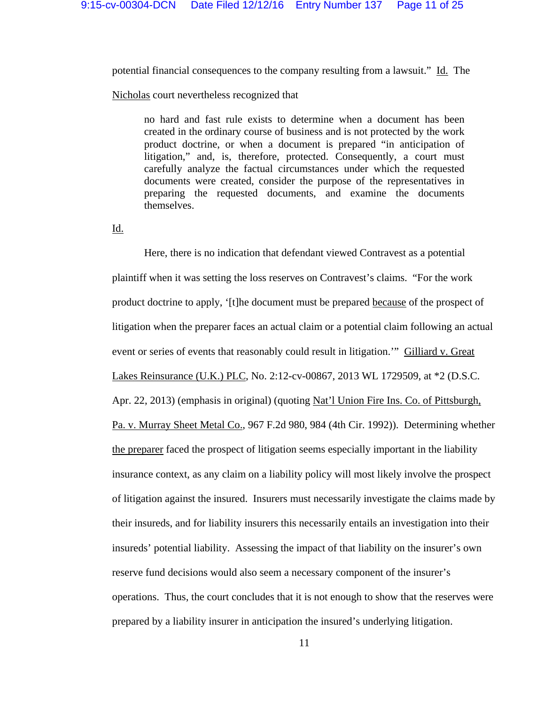potential financial consequences to the company resulting from a lawsuit." Id. The

Nicholas court nevertheless recognized that

no hard and fast rule exists to determine when a document has been created in the ordinary course of business and is not protected by the work product doctrine, or when a document is prepared "in anticipation of litigation," and, is, therefore, protected. Consequently, a court must carefully analyze the factual circumstances under which the requested documents were created, consider the purpose of the representatives in preparing the requested documents, and examine the documents themselves.

Id.

 Here, there is no indication that defendant viewed Contravest as a potential plaintiff when it was setting the loss reserves on Contravest's claims. "For the work product doctrine to apply, '[t]he document must be prepared because of the prospect of litigation when the preparer faces an actual claim or a potential claim following an actual event or series of events that reasonably could result in litigation." Gilliard v. Great Lakes Reinsurance (U.K.) PLC, No. 2:12-cv-00867, 2013 WL 1729509, at \*2 (D.S.C. Apr. 22, 2013) (emphasis in original) (quoting Nat'l Union Fire Ins. Co. of Pittsburgh, Pa. v. Murray Sheet Metal Co., 967 F.2d 980, 984 (4th Cir. 1992)). Determining whether the preparer faced the prospect of litigation seems especially important in the liability insurance context, as any claim on a liability policy will most likely involve the prospect of litigation against the insured. Insurers must necessarily investigate the claims made by their insureds, and for liability insurers this necessarily entails an investigation into their insureds' potential liability. Assessing the impact of that liability on the insurer's own reserve fund decisions would also seem a necessary component of the insurer's operations. Thus, the court concludes that it is not enough to show that the reserves were prepared by a liability insurer in anticipation the insured's underlying litigation.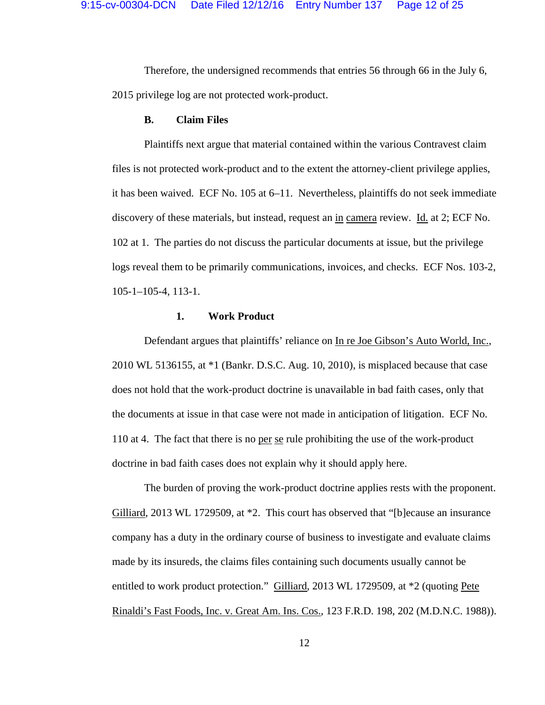Therefore, the undersigned recommends that entries 56 through 66 in the July 6, 2015 privilege log are not protected work-product.

#### **B. Claim Files**

 Plaintiffs next argue that material contained within the various Contravest claim files is not protected work-product and to the extent the attorney-client privilege applies, it has been waived. ECF No. 105 at 6–11. Nevertheless, plaintiffs do not seek immediate discovery of these materials, but instead, request an in camera review. Id. at 2; ECF No. 102 at 1. The parties do not discuss the particular documents at issue, but the privilege logs reveal them to be primarily communications, invoices, and checks. ECF Nos. 103-2, 105-1–105-4, 113-1.

#### **1. Work Product**

Defendant argues that plaintiffs' reliance on In re Joe Gibson's Auto World, Inc., 2010 WL 5136155, at \*1 (Bankr. D.S.C. Aug. 10, 2010), is misplaced because that case does not hold that the work-product doctrine is unavailable in bad faith cases, only that the documents at issue in that case were not made in anticipation of litigation. ECF No. 110 at 4. The fact that there is no per se rule prohibiting the use of the work-product doctrine in bad faith cases does not explain why it should apply here.

The burden of proving the work-product doctrine applies rests with the proponent. Gilliard, 2013 WL 1729509, at \*2. This court has observed that "[b]ecause an insurance company has a duty in the ordinary course of business to investigate and evaluate claims made by its insureds, the claims files containing such documents usually cannot be entitled to work product protection." Gilliard, 2013 WL 1729509, at \*2 (quoting Pete Rinaldi's Fast Foods, Inc. v. Great Am. Ins. Cos., 123 F.R.D. 198, 202 (M.D.N.C. 1988)).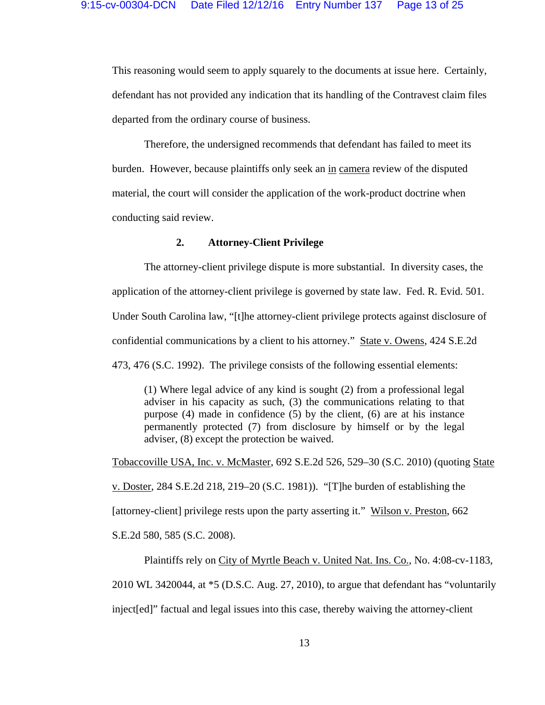This reasoning would seem to apply squarely to the documents at issue here. Certainly, defendant has not provided any indication that its handling of the Contravest claim files departed from the ordinary course of business.

Therefore, the undersigned recommends that defendant has failed to meet its burden. However, because plaintiffs only seek an in camera review of the disputed material, the court will consider the application of the work-product doctrine when conducting said review.

# **2. Attorney-Client Privilege**

The attorney-client privilege dispute is more substantial. In diversity cases, the application of the attorney-client privilege is governed by state law. Fed. R. Evid. 501. Under South Carolina law, "[t]he attorney-client privilege protects against disclosure of confidential communications by a client to his attorney." State v. Owens, 424 S.E.2d 473, 476 (S.C. 1992). The privilege consists of the following essential elements:

(1) Where legal advice of any kind is sought (2) from a professional legal adviser in his capacity as such, (3) the communications relating to that purpose (4) made in confidence (5) by the client, (6) are at his instance permanently protected (7) from disclosure by himself or by the legal adviser, (8) except the protection be waived.

Tobaccoville USA, Inc. v. McMaster, 692 S.E.2d 526, 529–30 (S.C. 2010) (quoting State v. Doster, 284 S.E.2d 218, 219–20 (S.C. 1981)). "[T]he burden of establishing the [attorney-client] privilege rests upon the party asserting it." Wilson v. Preston, 662 S.E.2d 580, 585 (S.C. 2008).

Plaintiffs rely on City of Myrtle Beach v. United Nat. Ins. Co., No. 4:08-cv-1183, 2010 WL 3420044, at \*5 (D.S.C. Aug. 27, 2010), to argue that defendant has "voluntarily inject[ed]" factual and legal issues into this case, thereby waiving the attorney-client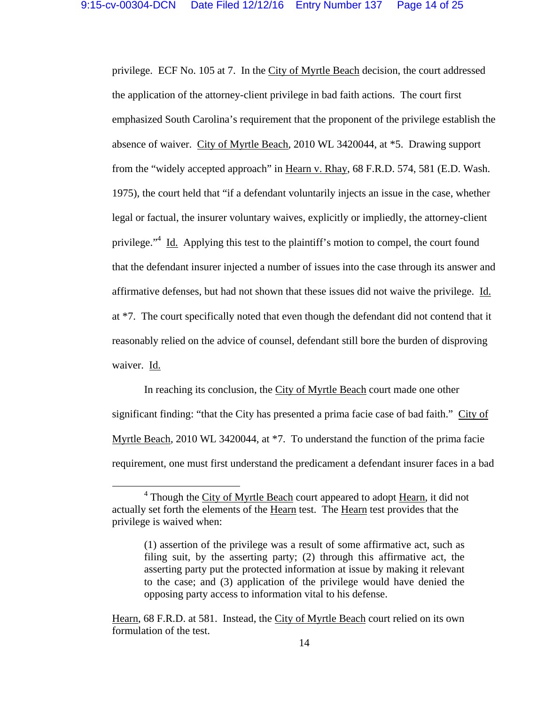privilege. ECF No. 105 at 7. In the City of Myrtle Beach decision, the court addressed the application of the attorney-client privilege in bad faith actions. The court first emphasized South Carolina's requirement that the proponent of the privilege establish the absence of waiver. City of Myrtle Beach, 2010 WL 3420044, at \*5. Drawing support from the "widely accepted approach" in Hearn v. Rhay, 68 F.R.D. 574, 581 (E.D. Wash. 1975), the court held that "if a defendant voluntarily injects an issue in the case, whether legal or factual, the insurer voluntary waives, explicitly or impliedly, the attorney-client privilege."<sup>4</sup> Id. Applying this test to the plaintiff's motion to compel, the court found that the defendant insurer injected a number of issues into the case through its answer and affirmative defenses, but had not shown that these issues did not waive the privilege. Id. at \*7. The court specifically noted that even though the defendant did not contend that it reasonably relied on the advice of counsel, defendant still bore the burden of disproving waiver. Id.

In reaching its conclusion, the City of Myrtle Beach court made one other significant finding: "that the City has presented a prima facie case of bad faith." City of Myrtle Beach, 2010 WL 3420044, at \*7. To understand the function of the prima facie requirement, one must first understand the predicament a defendant insurer faces in a bad

<sup>&</sup>lt;sup>4</sup> Though the City of Myrtle Beach court appeared to adopt <u>Hearn</u>, it did not actually set forth the elements of the Hearn test. The Hearn test provides that the privilege is waived when:

<sup>(1)</sup> assertion of the privilege was a result of some affirmative act, such as filing suit, by the asserting party; (2) through this affirmative act, the asserting party put the protected information at issue by making it relevant to the case; and (3) application of the privilege would have denied the opposing party access to information vital to his defense.

Hearn, 68 F.R.D. at 581. Instead, the City of Myrtle Beach court relied on its own formulation of the test.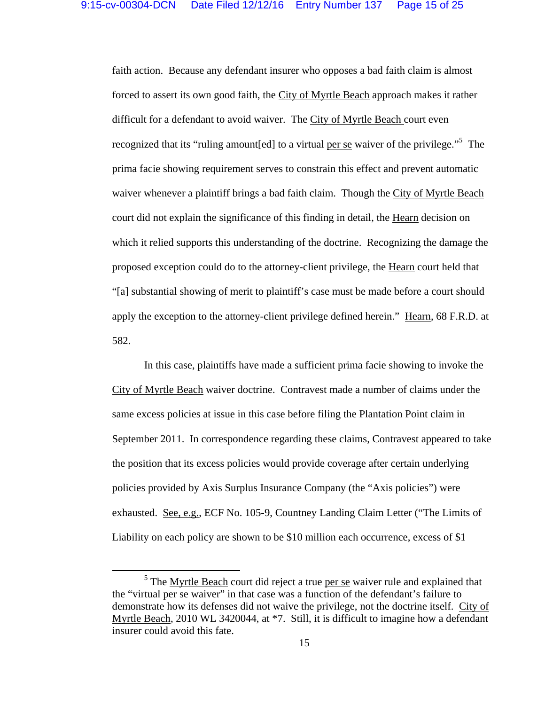faith action. Because any defendant insurer who opposes a bad faith claim is almost forced to assert its own good faith, the City of Myrtle Beach approach makes it rather difficult for a defendant to avoid waiver. The City of Myrtle Beach court even recognized that its "ruling amount[ed] to a virtual <u>per se</u> waiver of the privilege."<sup>5</sup> The prima facie showing requirement serves to constrain this effect and prevent automatic waiver whenever a plaintiff brings a bad faith claim. Though the City of Myrtle Beach court did not explain the significance of this finding in detail, the Hearn decision on which it relied supports this understanding of the doctrine. Recognizing the damage the proposed exception could do to the attorney-client privilege, the Hearn court held that "[a] substantial showing of merit to plaintiff's case must be made before a court should apply the exception to the attorney-client privilege defined herein." Hearn, 68 F.R.D. at 582.

In this case, plaintiffs have made a sufficient prima facie showing to invoke the City of Myrtle Beach waiver doctrine. Contravest made a number of claims under the same excess policies at issue in this case before filing the Plantation Point claim in September 2011. In correspondence regarding these claims, Contravest appeared to take the position that its excess policies would provide coverage after certain underlying policies provided by Axis Surplus Insurance Company (the "Axis policies") were exhausted. See, e.g., ECF No. 105-9, Countney Landing Claim Letter ("The Limits of Liability on each policy are shown to be \$10 million each occurrence, excess of \$1

<sup>&</sup>lt;sup>5</sup> The <u>Myrtle Beach</u> court did reject a true per se waiver rule and explained that the "virtual per se waiver" in that case was a function of the defendant's failure to demonstrate how its defenses did not waive the privilege, not the doctrine itself. City of Myrtle Beach, 2010 WL 3420044, at \*7. Still, it is difficult to imagine how a defendant insurer could avoid this fate.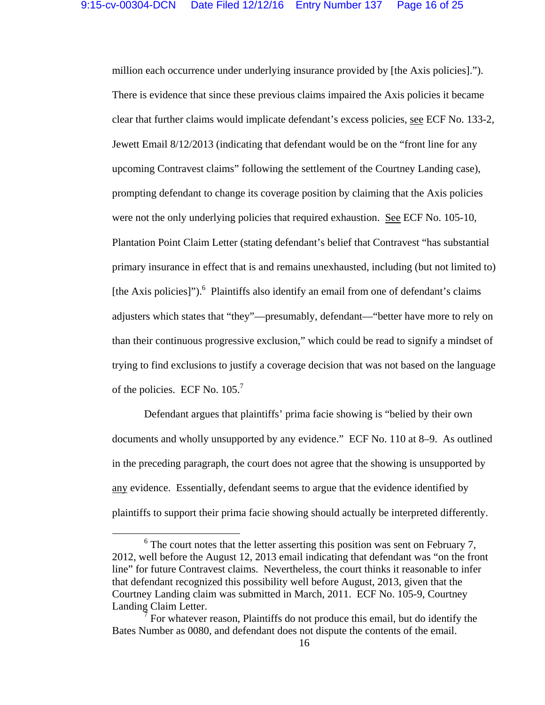million each occurrence under underlying insurance provided by [the Axis policies]."). There is evidence that since these previous claims impaired the Axis policies it became clear that further claims would implicate defendant's excess policies, see ECF No. 133-2, Jewett Email 8/12/2013 (indicating that defendant would be on the "front line for any upcoming Contravest claims" following the settlement of the Courtney Landing case), prompting defendant to change its coverage position by claiming that the Axis policies were not the only underlying policies that required exhaustion. See ECF No. 105-10, Plantation Point Claim Letter (stating defendant's belief that Contravest "has substantial primary insurance in effect that is and remains unexhausted, including (but not limited to) [the Axis policies]").<sup>6</sup> Plaintiffs also identify an email from one of defendant's claims adjusters which states that "they"—presumably, defendant—"better have more to rely on than their continuous progressive exclusion," which could be read to signify a mindset of trying to find exclusions to justify a coverage decision that was not based on the language of the policies. ECF No.  $105<sup>7</sup>$ 

Defendant argues that plaintiffs' prima facie showing is "belied by their own documents and wholly unsupported by any evidence." ECF No. 110 at 8–9. As outlined in the preceding paragraph, the court does not agree that the showing is unsupported by any evidence. Essentially, defendant seems to argue that the evidence identified by plaintiffs to support their prima facie showing should actually be interpreted differently.

<sup>&</sup>lt;sup>6</sup> The court notes that the letter asserting this position was sent on February 7, 2012, well before the August 12, 2013 email indicating that defendant was "on the front line" for future Contravest claims. Nevertheless, the court thinks it reasonable to infer that defendant recognized this possibility well before August, 2013, given that the Courtney Landing claim was submitted in March, 2011. ECF No. 105-9, Courtney Landing Claim Letter.

<sup>7</sup> For whatever reason, Plaintiffs do not produce this email, but do identify the Bates Number as 0080, and defendant does not dispute the contents of the email.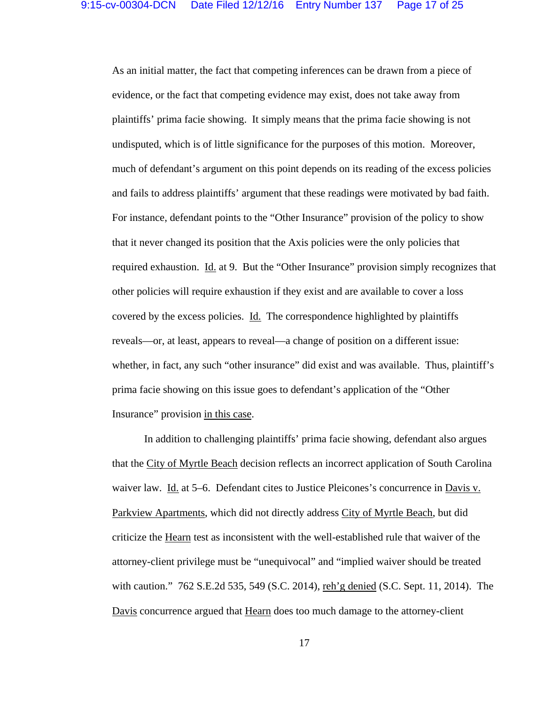As an initial matter, the fact that competing inferences can be drawn from a piece of evidence, or the fact that competing evidence may exist, does not take away from plaintiffs' prima facie showing. It simply means that the prima facie showing is not undisputed, which is of little significance for the purposes of this motion. Moreover, much of defendant's argument on this point depends on its reading of the excess policies and fails to address plaintiffs' argument that these readings were motivated by bad faith. For instance, defendant points to the "Other Insurance" provision of the policy to show that it never changed its position that the Axis policies were the only policies that required exhaustion. Id. at 9. But the "Other Insurance" provision simply recognizes that other policies will require exhaustion if they exist and are available to cover a loss covered by the excess policies. Id. The correspondence highlighted by plaintiffs reveals—or, at least, appears to reveal—a change of position on a different issue: whether, in fact, any such "other insurance" did exist and was available. Thus, plaintiff's prima facie showing on this issue goes to defendant's application of the "Other Insurance" provision in this case.

In addition to challenging plaintiffs' prima facie showing, defendant also argues that the City of Myrtle Beach decision reflects an incorrect application of South Carolina waiver law. Id. at 5–6. Defendant cites to Justice Pleicones's concurrence in Davis v. Parkview Apartments, which did not directly address City of Myrtle Beach, but did criticize the Hearn test as inconsistent with the well-established rule that waiver of the attorney-client privilege must be "unequivocal" and "implied waiver should be treated with caution." 762 S.E.2d 535, 549 (S.C. 2014), reh'g denied (S.C. Sept. 11, 2014). The Davis concurrence argued that Hearn does too much damage to the attorney-client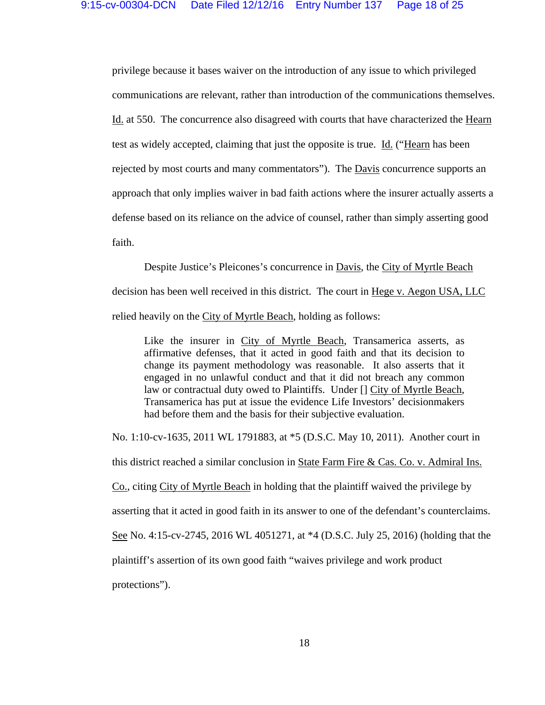privilege because it bases waiver on the introduction of any issue to which privileged communications are relevant, rather than introduction of the communications themselves. Id. at 550. The concurrence also disagreed with courts that have characterized the Hearn test as widely accepted, claiming that just the opposite is true. Id. ("Hearn has been rejected by most courts and many commentators"). The **Davis concurrence** supports an approach that only implies waiver in bad faith actions where the insurer actually asserts a defense based on its reliance on the advice of counsel, rather than simply asserting good faith.

Despite Justice's Pleicones's concurrence in Davis, the City of Myrtle Beach decision has been well received in this district. The court in Hege v. Aegon USA, LLC relied heavily on the City of Myrtle Beach, holding as follows:

Like the insurer in City of Myrtle Beach, Transamerica asserts, as affirmative defenses, that it acted in good faith and that its decision to change its payment methodology was reasonable. It also asserts that it engaged in no unlawful conduct and that it did not breach any common law or contractual duty owed to Plaintiffs. Under [] City of Myrtle Beach, Transamerica has put at issue the evidence Life Investors' decisionmakers had before them and the basis for their subjective evaluation.

No. 1:10-cv-1635, 2011 WL 1791883, at \*5 (D.S.C. May 10, 2011). Another court in this district reached a similar conclusion in State Farm Fire & Cas. Co. v. Admiral Ins. Co., citing City of Myrtle Beach in holding that the plaintiff waived the privilege by asserting that it acted in good faith in its answer to one of the defendant's counterclaims. See No. 4:15-cv-2745, 2016 WL 4051271, at \*4 (D.S.C. July 25, 2016) (holding that the plaintiff's assertion of its own good faith "waives privilege and work product protections").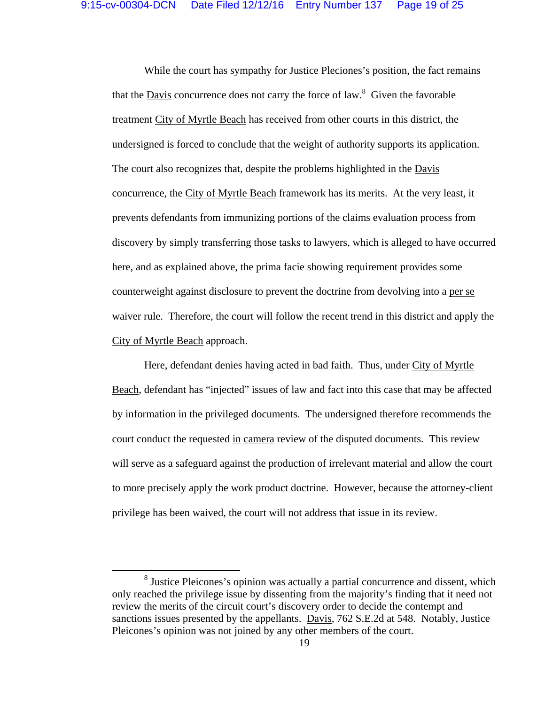While the court has sympathy for Justice Pleciones's position, the fact remains that the **Davis** concurrence does not carry the force of law.<sup>8</sup> Given the favorable treatment City of Myrtle Beach has received from other courts in this district, the undersigned is forced to conclude that the weight of authority supports its application. The court also recognizes that, despite the problems highlighted in the Davis concurrence, the City of Myrtle Beach framework has its merits. At the very least, it prevents defendants from immunizing portions of the claims evaluation process from discovery by simply transferring those tasks to lawyers, which is alleged to have occurred here, and as explained above, the prima facie showing requirement provides some counterweight against disclosure to prevent the doctrine from devolving into a per se waiver rule. Therefore, the court will follow the recent trend in this district and apply the City of Myrtle Beach approach.

Here, defendant denies having acted in bad faith. Thus, under City of Myrtle Beach, defendant has "injected" issues of law and fact into this case that may be affected by information in the privileged documents. The undersigned therefore recommends the court conduct the requested in camera review of the disputed documents. This review will serve as a safeguard against the production of irrelevant material and allow the court to more precisely apply the work product doctrine. However, because the attorney-client privilege has been waived, the court will not address that issue in its review.

<sup>&</sup>lt;sup>8</sup> Justice Pleicones's opinion was actually a partial concurrence and dissent, which only reached the privilege issue by dissenting from the majority's finding that it need not review the merits of the circuit court's discovery order to decide the contempt and sanctions issues presented by the appellants. Davis, 762 S.E.2d at 548. Notably, Justice Pleicones's opinion was not joined by any other members of the court.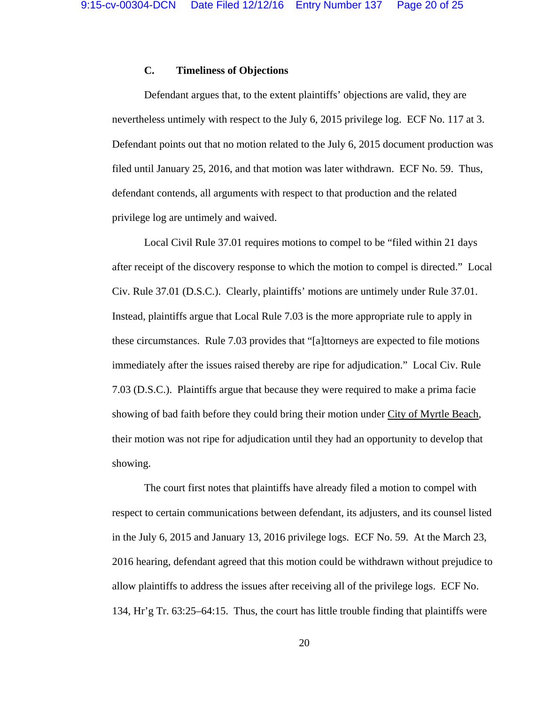# **C. Timeliness of Objections**

Defendant argues that, to the extent plaintiffs' objections are valid, they are nevertheless untimely with respect to the July 6, 2015 privilege log. ECF No. 117 at 3. Defendant points out that no motion related to the July 6, 2015 document production was filed until January 25, 2016, and that motion was later withdrawn. ECF No. 59. Thus, defendant contends, all arguments with respect to that production and the related privilege log are untimely and waived.

 Local Civil Rule 37.01 requires motions to compel to be "filed within 21 days after receipt of the discovery response to which the motion to compel is directed." Local Civ. Rule 37.01 (D.S.C.). Clearly, plaintiffs' motions are untimely under Rule 37.01. Instead, plaintiffs argue that Local Rule 7.03 is the more appropriate rule to apply in these circumstances. Rule 7.03 provides that "[a]ttorneys are expected to file motions immediately after the issues raised thereby are ripe for adjudication." Local Civ. Rule 7.03 (D.S.C.). Plaintiffs argue that because they were required to make a prima facie showing of bad faith before they could bring their motion under City of Myrtle Beach, their motion was not ripe for adjudication until they had an opportunity to develop that showing.

 The court first notes that plaintiffs have already filed a motion to compel with respect to certain communications between defendant, its adjusters, and its counsel listed in the July 6, 2015 and January 13, 2016 privilege logs. ECF No. 59. At the March 23, 2016 hearing, defendant agreed that this motion could be withdrawn without prejudice to allow plaintiffs to address the issues after receiving all of the privilege logs. ECF No. 134, Hr'g Tr. 63:25–64:15. Thus, the court has little trouble finding that plaintiffs were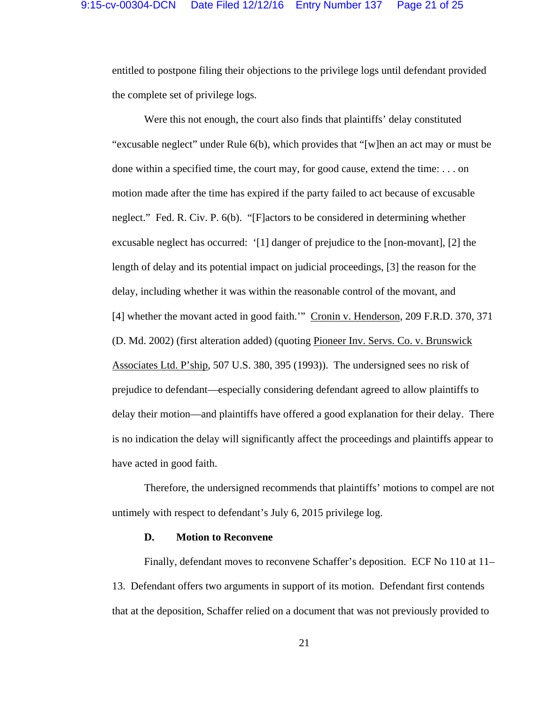entitled to postpone filing their objections to the privilege logs until defendant provided the complete set of privilege logs.

 Were this not enough, the court also finds that plaintiffs' delay constituted "excusable neglect" under Rule 6(b), which provides that "[w]hen an act may or must be done within a specified time, the court may, for good cause, extend the time: . . . on motion made after the time has expired if the party failed to act because of excusable neglect." Fed. R. Civ. P. 6(b). "[F]actors to be considered in determining whether excusable neglect has occurred: '[1] danger of prejudice to the [non-movant], [2] the length of delay and its potential impact on judicial proceedings, [3] the reason for the delay, including whether it was within the reasonable control of the movant, and [4] whether the movant acted in good faith.'" Cronin v. Henderson, 209 F.R.D. 370, 371 (D. Md. 2002) (first alteration added) (quoting Pioneer Inv. Servs. Co. v. Brunswick Associates Ltd. P'ship, 507 U.S. 380, 395 (1993)). The undersigned sees no risk of prejudice to defendant—especially considering defendant agreed to allow plaintiffs to delay their motion—and plaintiffs have offered a good explanation for their delay. There is no indication the delay will significantly affect the proceedings and plaintiffs appear to have acted in good faith.

 Therefore, the undersigned recommends that plaintiffs' motions to compel are not untimely with respect to defendant's July 6, 2015 privilege log.

#### **D. Motion to Reconvene**

 Finally, defendant moves to reconvene Schaffer's deposition. ECF No 110 at 11– 13. Defendant offers two arguments in support of its motion. Defendant first contends that at the deposition, Schaffer relied on a document that was not previously provided to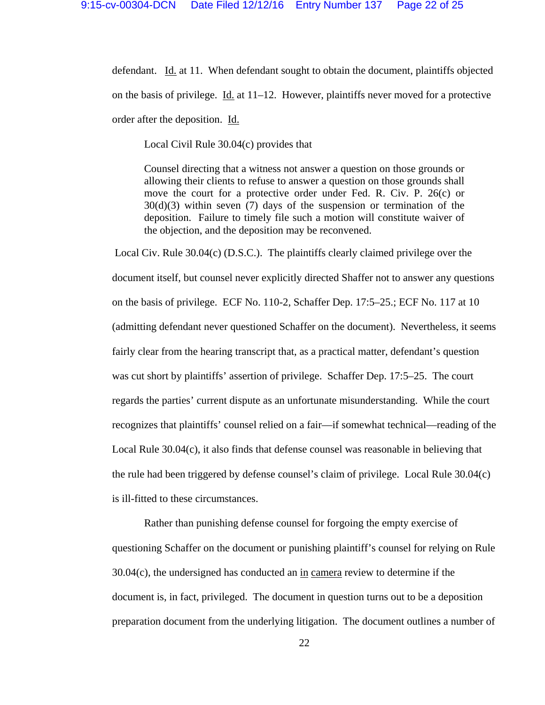defendant. Id. at 11. When defendant sought to obtain the document, plaintiffs objected on the basis of privilege. Id. at 11–12. However, plaintiffs never moved for a protective order after the deposition. Id.

Local Civil Rule 30.04(c) provides that

Counsel directing that a witness not answer a question on those grounds or allowing their clients to refuse to answer a question on those grounds shall move the court for a protective order under Fed. R. Civ. P. 26(c) or 30(d)(3) within seven (7) days of the suspension or termination of the deposition. Failure to timely file such a motion will constitute waiver of the objection, and the deposition may be reconvened.

 Local Civ. Rule 30.04(c) (D.S.C.). The plaintiffs clearly claimed privilege over the document itself, but counsel never explicitly directed Shaffer not to answer any questions on the basis of privilege. ECF No. 110-2, Schaffer Dep. 17:5–25.; ECF No. 117 at 10 (admitting defendant never questioned Schaffer on the document). Nevertheless, it seems fairly clear from the hearing transcript that, as a practical matter, defendant's question was cut short by plaintiffs' assertion of privilege. Schaffer Dep. 17:5–25. The court regards the parties' current dispute as an unfortunate misunderstanding. While the court recognizes that plaintiffs' counsel relied on a fair—if somewhat technical—reading of the Local Rule 30.04(c), it also finds that defense counsel was reasonable in believing that the rule had been triggered by defense counsel's claim of privilege. Local Rule 30.04(c) is ill-fitted to these circumstances.

 Rather than punishing defense counsel for forgoing the empty exercise of questioning Schaffer on the document or punishing plaintiff's counsel for relying on Rule  $30.04(c)$ , the undersigned has conducted an in camera review to determine if the document is, in fact, privileged. The document in question turns out to be a deposition preparation document from the underlying litigation. The document outlines a number of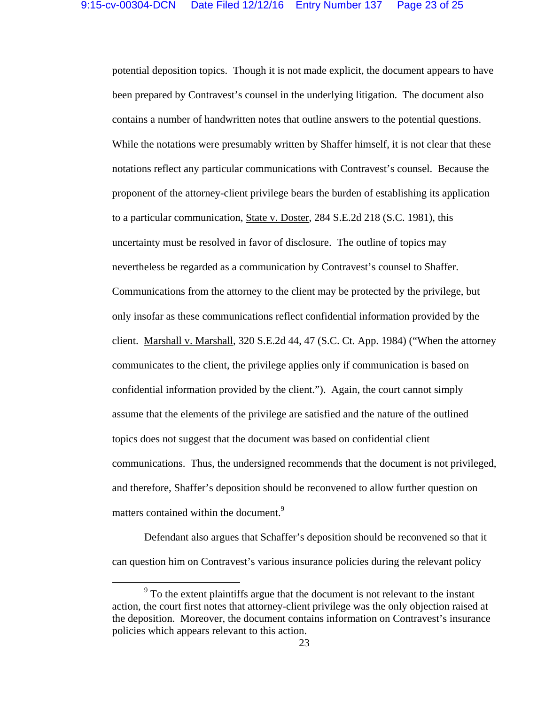potential deposition topics. Though it is not made explicit, the document appears to have been prepared by Contravest's counsel in the underlying litigation. The document also contains a number of handwritten notes that outline answers to the potential questions. While the notations were presumably written by Shaffer himself, it is not clear that these notations reflect any particular communications with Contravest's counsel. Because the proponent of the attorney-client privilege bears the burden of establishing its application to a particular communication, State v. Doster, 284 S.E.2d 218 (S.C. 1981), this uncertainty must be resolved in favor of disclosure. The outline of topics may nevertheless be regarded as a communication by Contravest's counsel to Shaffer. Communications from the attorney to the client may be protected by the privilege, but only insofar as these communications reflect confidential information provided by the client. Marshall v. Marshall, 320 S.E.2d 44, 47 (S.C. Ct. App. 1984) ("When the attorney communicates to the client, the privilege applies only if communication is based on confidential information provided by the client."). Again, the court cannot simply assume that the elements of the privilege are satisfied and the nature of the outlined topics does not suggest that the document was based on confidential client communications. Thus, the undersigned recommends that the document is not privileged, and therefore, Shaffer's deposition should be reconvened to allow further question on matters contained within the document.<sup>9</sup>

 Defendant also argues that Schaffer's deposition should be reconvened so that it can question him on Contravest's various insurance policies during the relevant policy

<sup>&</sup>lt;sup>9</sup> To the extent plaintiffs argue that the document is not relevant to the instant action, the court first notes that attorney-client privilege was the only objection raised at the deposition. Moreover, the document contains information on Contravest's insurance policies which appears relevant to this action.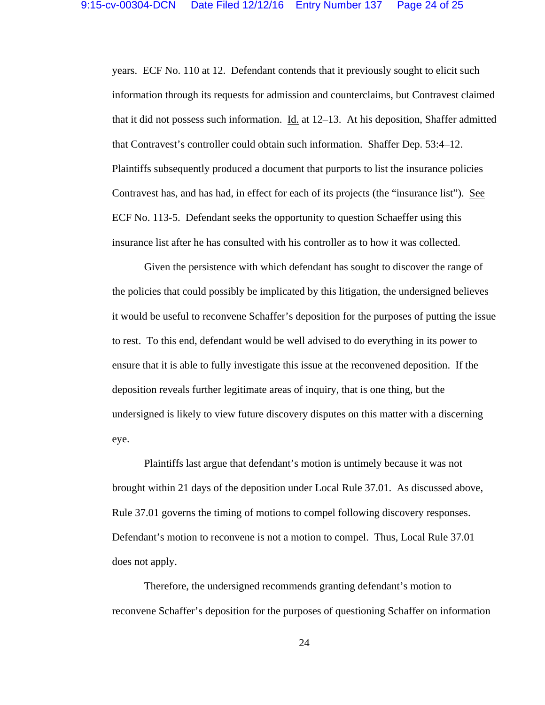years. ECF No. 110 at 12. Defendant contends that it previously sought to elicit such information through its requests for admission and counterclaims, but Contravest claimed that it did not possess such information. Id. at 12–13. At his deposition, Shaffer admitted that Contravest's controller could obtain such information. Shaffer Dep. 53:4–12. Plaintiffs subsequently produced a document that purports to list the insurance policies Contravest has, and has had, in effect for each of its projects (the "insurance list"). See ECF No. 113-5. Defendant seeks the opportunity to question Schaeffer using this insurance list after he has consulted with his controller as to how it was collected.

 Given the persistence with which defendant has sought to discover the range of the policies that could possibly be implicated by this litigation, the undersigned believes it would be useful to reconvene Schaffer's deposition for the purposes of putting the issue to rest. To this end, defendant would be well advised to do everything in its power to ensure that it is able to fully investigate this issue at the reconvened deposition. If the deposition reveals further legitimate areas of inquiry, that is one thing, but the undersigned is likely to view future discovery disputes on this matter with a discerning eye.

 Plaintiffs last argue that defendant's motion is untimely because it was not brought within 21 days of the deposition under Local Rule 37.01. As discussed above, Rule 37.01 governs the timing of motions to compel following discovery responses. Defendant's motion to reconvene is not a motion to compel. Thus, Local Rule 37.01 does not apply.

 Therefore, the undersigned recommends granting defendant's motion to reconvene Schaffer's deposition for the purposes of questioning Schaffer on information